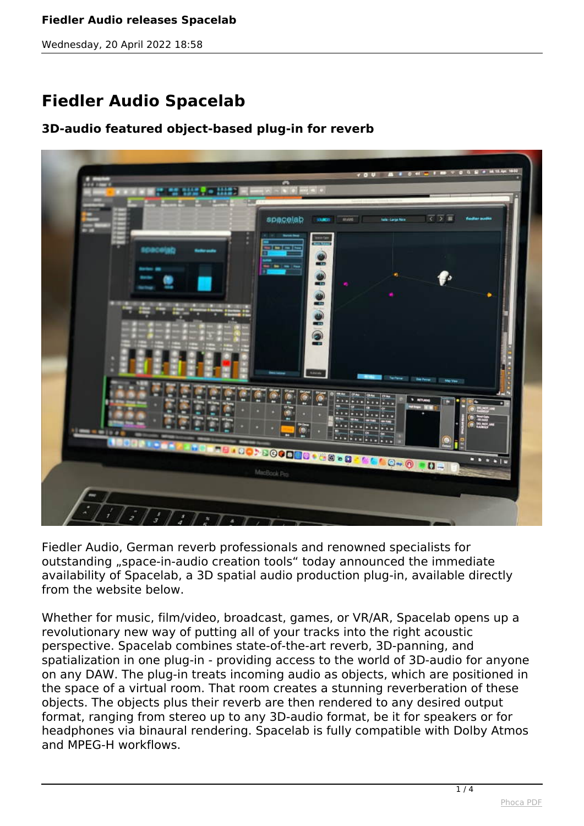### **Fiedler Audio releases Spacelab**

*Wednesday, 20 April 2022 18:58*

# **Fiedler Audio Spacelab**

## **3D-audio featured object-based plug-in for reverb**



*Fiedler Audio, German reverb professionals and renowned specialists for outstanding "space-in-audio creation tools" today announced the immediate availability of Spacelab, a 3D spatial audio production plug-in, available directly from the website below.*

*Whether for music, film/video, broadcast, games, or VR/AR, Spacelab opens up a revolutionary new way of putting all of your tracks into the right acoustic perspective. Spacelab combines state-of-the-art reverb, 3D-panning, and spatialization in one plug-in - providing access to the world of 3D-audio for anyone on any DAW. The plug-in treats incoming audio as objects, which are positioned in the space of a virtual room. That room creates a stunning reverberation of these objects. The objects plus their reverb are then rendered to any desired output format, ranging from stereo up to any 3D-audio format, be it for speakers or for headphones via binaural rendering. Spacelab is fully compatible with Dolby Atmos and MPEG-H workflows.*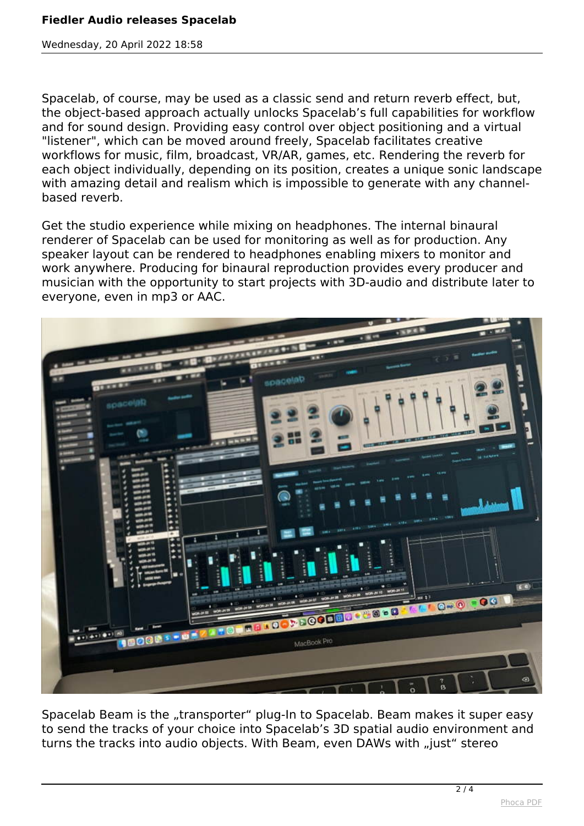## **Fiedler Audio releases Spacelab**

*Wednesday, 20 April 2022 18:58*

*Spacelab, of course, may be used as a classic send and return reverb effect, but, the object-based approach actually unlocks Spacelab's full capabilities for workflow and for sound design. Providing easy control over object positioning and a virtual "listener", which can be moved around freely, Spacelab facilitates creative workflows for music, film, broadcast, VR/AR, games, etc. Rendering the reverb for each object individually, depending on its position, creates a unique sonic landscape with amazing detail and realism which is impossible to generate with any channelbased reverb.*

*Get the studio experience while mixing on headphones. The internal binaural renderer of Spacelab can be used for monitoring as well as for production. Any speaker layout can be rendered to headphones enabling mixers to monitor and work anywhere. Producing for binaural reproduction provides every producer and musician with the opportunity to start projects with 3D-audio and distribute later to everyone, even in mp3 or AAC.*



*Spacelab Beam is the "transporter" plug-In to Spacelab. Beam makes it super easy to send the tracks of your choice into Spacelab's 3D spatial audio environment and turns the tracks into audio objects. With Beam, even DAWs with "just" stereo*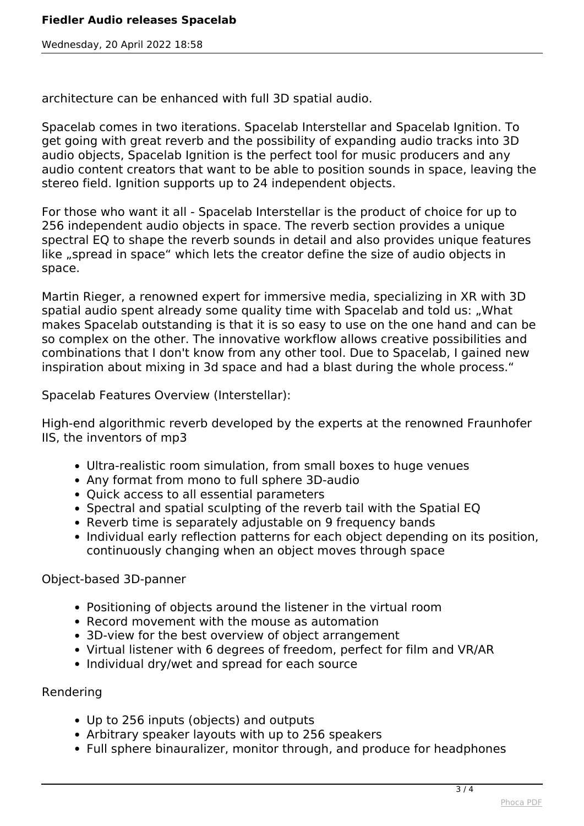*Wednesday, 20 April 2022 18:58*

*architecture can be enhanced with full 3D spatial audio.*

*Spacelab comes in two iterations. Spacelab Interstellar and Spacelab Ignition. To get going with great reverb and the possibility of expanding audio tracks into 3D audio objects, Spacelab Ignition is the perfect tool for music producers and any audio content creators that want to be able to position sounds in space, leaving the stereo field. Ignition supports up to 24 independent objects.*

*For those who want it all - Spacelab Interstellar is the product of choice for up to 256 independent audio objects in space. The reverb section provides a unique spectral EQ to shape the reverb sounds in detail and also provides unique features like "spread in space" which lets the creator define the size of audio objects in space.*

*Martin Rieger, a renowned expert for immersive media, specializing in XR with 3D spatial audio spent already some quality time with Spacelab and told us: "What makes Spacelab outstanding is that it is so easy to use on the one hand and can be so complex on the other. The innovative workflow allows creative possibilities and combinations that I don't know from any other tool. Due to Spacelab, I gained new inspiration about mixing in 3d space and had a blast during the whole process."*

*Spacelab Features Overview (Interstellar):*

*High-end algorithmic reverb developed by the experts at the renowned Fraunhofer IIS, the inventors of mp3*

- *Ultra-realistic room simulation, from small boxes to huge venues*
- *Any format from mono to full sphere 3D-audio*
- *Quick access to all essential parameters*
- *Spectral and spatial sculpting of the reverb tail with the Spatial EQ*
- *Reverb time is separately adjustable on 9 frequency bands*
- *Individual early reflection patterns for each object depending on its position, continuously changing when an object moves through space*

*Object-based 3D-panner*

- *Positioning of objects around the listener in the virtual room*
- *Record movement with the mouse as automation*
- *3D-view for the best overview of object arrangement*
- *Virtual listener with 6 degrees of freedom, perfect for film and VR/AR*
- *Individual dry/wet and spread for each source*

#### *Rendering*

- *Up to 256 inputs (objects) and outputs*
- *Arbitrary speaker layouts with up to 256 speakers*
- *Full sphere binauralizer, monitor through, and produce for headphones*